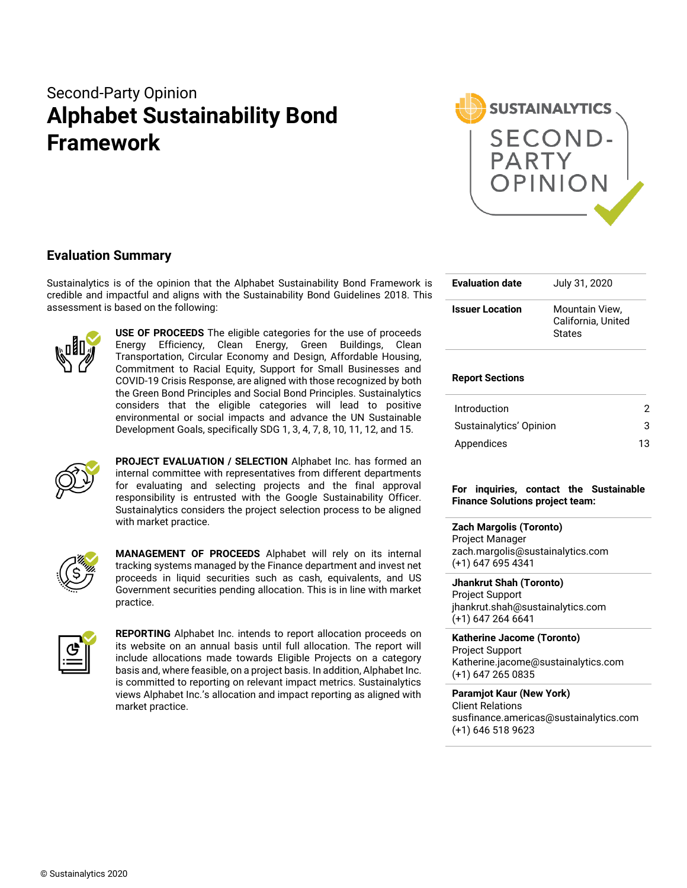# Second-Party Opinion **Alphabet Sustainability Bond Framework**



## **Evaluation Summary**

Sustainalytics is of the opinion that the Alphabet Sustainability Bond Framework is credible and impactful and aligns with the Sustainability Bond Guidelines 2018. This assessment is based on the following:



**USE OF PROCEEDS** The eligible categories for the use of proceeds Energy Efficiency, Clean Energy, Green Buildings, Clean Transportation, Circular Economy and Design, Affordable Housing, Commitment to Racial Equity, Support for Small Businesses and COVID-19 Crisis Response, are aligned with those recognized by both the Green Bond Principles and Social Bond Principles. Sustainalytics considers that the eligible categories will lead to positive environmental or social impacts and advance the UN Sustainable Development Goals, specifically SDG 1, 3, 4, 7, 8, 10, 11, 12, and 15.



**PROJECT EVALUATION / SELECTION** Alphabet Inc. has formed an internal committee with representatives from different departments for evaluating and selecting projects and the final approval responsibility is entrusted with the Google Sustainability Officer. Sustainalytics considers the project selection process to be aligned with market practice.



**MANAGEMENT OF PROCEEDS** Alphabet will rely on its internal tracking systems managed by the Finance department and invest net proceeds in liquid securities such as cash, equivalents, and US Government securities pending allocation. This is in line with market practice.



**REPORTING** Alphabet Inc. intends to report allocation proceeds on its website on an annual basis until full allocation. The report will include allocations made towards Eligible Projects on a category basis and, where feasible, on a project basis. In addition, Alphabet Inc. is committed to reporting on relevant impact metrics. Sustainalytics views Alphabet Inc.'s allocation and impact reporting as aligned with market practice.

| <b>Evaluation date</b> | July 31, 2020                                         |  |  |  |
|------------------------|-------------------------------------------------------|--|--|--|
| <b>Issuer Location</b> | Mountain View.<br>California, United<br><b>States</b> |  |  |  |

## **Report Sections**

| Introduction            | 2  |
|-------------------------|----|
| Sustainalytics' Opinion | 3  |
| Appendices              | 13 |

**For inquiries, contact the Sustainable Finance Solutions project team:**

## **Zach Margolis (Toronto)**

Project Manager zach.margolis@sustainalytics.com (+1) 647 695 4341

**Jhankrut Shah (Toronto)**

Project Support jhankrut.shah@sustainalytics.com (+1) 647 264 6641

## **Katherine Jacome (Toronto)**

Project Support Katherine.jacome@sustainalytics.com (+1) 647 265 0835

## **Paramjot Kaur (New York)**

Client Relations susfinance.americas@sustainalytics.com (+1) 646 518 9623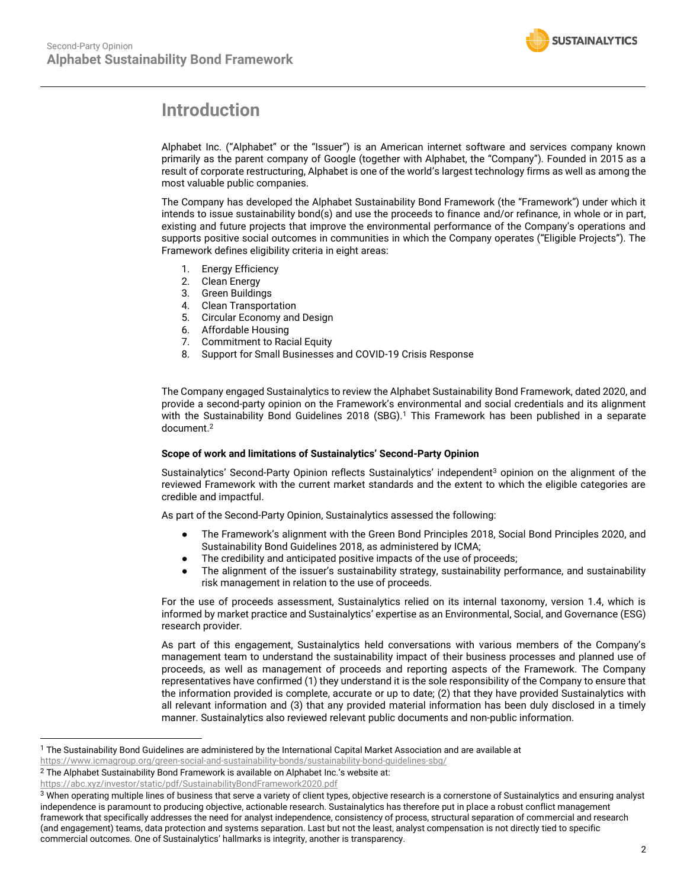

## <span id="page-1-0"></span>**Introduction**

Alphabet Inc. ("Alphabet" or the "Issuer") is an American internet software and services company known primarily as the parent company of Google (together with Alphabet, the "Company"). Founded in 2015 as a result of corporate restructuring, Alphabet is one of the world's largest technology firms as well as among the most valuable public companies.

The Company has developed the Alphabet Sustainability Bond Framework (the "Framework") under which it intends to issue sustainability bond(s) and use the proceeds to finance and/or refinance, in whole or in part, existing and future projects that improve the environmental performance of the Company's operations and supports positive social outcomes in communities in which the Company operates ("Eligible Projects"). The Framework defines eligibility criteria in eight areas:

- 1. Energy Efficiency
- 2. Clean Energy
- 3. Green Buildings
- 4. Clean Transportation
- 5. Circular Economy and Design
- 6. Affordable Housing
- 7. Commitment to Racial Equity
- 8. Support for Small Businesses and COVID-19 Crisis Response

The Company engaged Sustainalytics to review the Alphabet Sustainability Bond Framework, dated 2020, and provide a second-party opinion on the Framework's environmental and social credentials and its alignment with the Sustainability Bond Guidelines 2018 (SBG).<sup>1</sup> This Framework has been published in a separate document.<sup>2</sup>

## **Scope of work and limitations of Sustainalytics' Second-Party Opinion**

Sustainalytics' Second-Party Opinion reflects Sustainalytics' independent<sup>3</sup> opinion on the alignment of the reviewed Framework with the current market standards and the extent to which the eligible categories are credible and impactful.

As part of the Second-Party Opinion, Sustainalytics assessed the following:

- The Framework's alignment with the Green Bond Principles 2018, Social Bond Principles 2020, and Sustainability Bond Guidelines 2018, as administered by ICMA;
- The credibility and anticipated positive impacts of the use of proceeds;
- The alignment of the issuer's sustainability strategy, sustainability performance, and sustainability risk management in relation to the use of proceeds.

For the use of proceeds assessment, Sustainalytics relied on its internal taxonomy, version 1.4, which is informed by market practice and Sustainalytics' expertise as an Environmental, Social, and Governance (ESG) research provider.

As part of this engagement, Sustainalytics held conversations with various members of the Company's management team to understand the sustainability impact of their business processes and planned use of proceeds, as well as management of proceeds and reporting aspects of the Framework. The Company representatives have confirmed (1) they understand it is the sole responsibility of the Company to ensure that the information provided is complete, accurate or up to date; (2) that they have provided Sustainalytics with all relevant information and (3) that any provided material information has been duly disclosed in a timely manner. Sustainalytics also reviewed relevant public documents and non-public information.

<sup>1</sup> The Sustainability Bond Guidelines are administered by the International Capital Market Association and are available at

<https://www.icmagroup.org/green-social-and-sustainability-bonds/sustainability-bond-guidelines-sbg/>

<sup>2</sup> The Alphabet Sustainability Bond Framework is available on Alphabet Inc.'s website at:

https://abc.xyz/investor/static/pdf/SustainabilityBondFramework2020.pdf

<sup>&</sup>lt;sup>3</sup> When operating multiple lines of business that serve a variety of client types, objective research is a cornerstone of Sustainalytics and ensuring analyst independence is paramount to producing objective, actionable research. Sustainalytics has therefore put in place a robust conflict management framework that specifically addresses the need for analyst independence, consistency of process, structural separation of commercial and research (and engagement) teams, data protection and systems separation. Last but not the least, analyst compensation is not directly tied to specific commercial outcomes. One of Sustainalytics' hallmarks is integrity, another is transparency.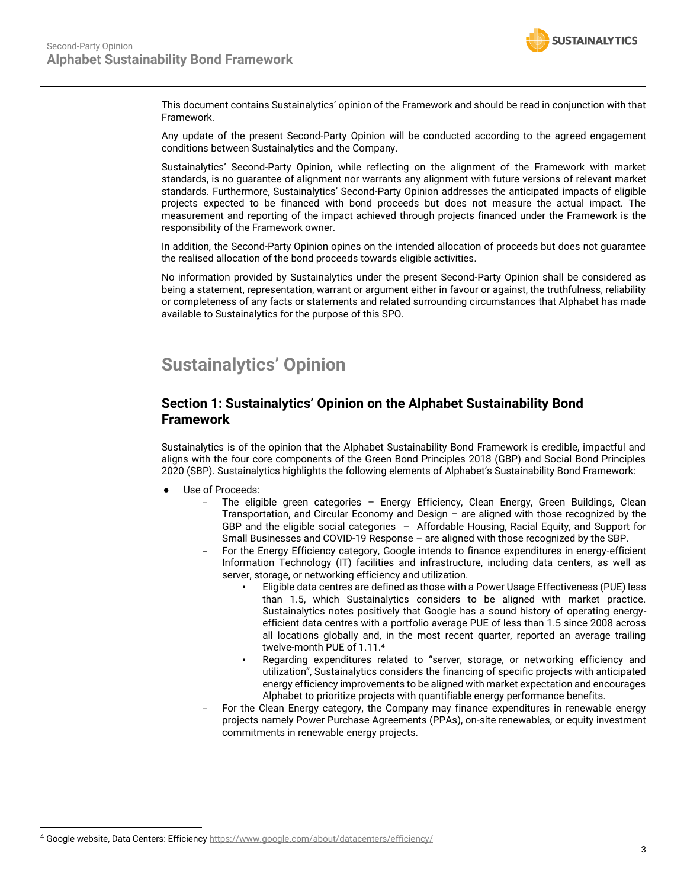

This document contains Sustainalytics' opinion of the Framework and should be read in conjunction with that Framework.

Any update of the present Second-Party Opinion will be conducted according to the agreed engagement conditions between Sustainalytics and the Company.

Sustainalytics' Second-Party Opinion, while reflecting on the alignment of the Framework with market standards, is no guarantee of alignment nor warrants any alignment with future versions of relevant market standards. Furthermore, Sustainalytics' Second-Party Opinion addresses the anticipated impacts of eligible projects expected to be financed with bond proceeds but does not measure the actual impact. The measurement and reporting of the impact achieved through projects financed under the Framework is the responsibility of the Framework owner.

In addition, the Second-Party Opinion opines on the intended allocation of proceeds but does not guarantee the realised allocation of the bond proceeds towards eligible activities.

No information provided by Sustainalytics under the present Second-Party Opinion shall be considered as being a statement, representation, warrant or argument either in favour or against, the truthfulness, reliability or completeness of any facts or statements and related surrounding circumstances that Alphabet has made available to Sustainalytics for the purpose of this SPO.

## <span id="page-2-0"></span>**Sustainalytics' Opinion**

## **Section 1: Sustainalytics' Opinion on the Alphabet Sustainability Bond Framework**

Sustainalytics is of the opinion that the Alphabet Sustainability Bond Framework is credible, impactful and aligns with the four core components of the Green Bond Principles 2018 (GBP) and Social Bond Principles 2020 (SBP). Sustainalytics highlights the following elements of Alphabet's Sustainability Bond Framework:

- Use of Proceeds:
	- The eligible green categories Energy Efficiency, Clean Energy, Green Buildings, Clean Transportation, and Circular Economy and Design – are aligned with those recognized by the GBP and the eligible social categories – Affordable Housing, Racial Equity, and Support for Small Businesses and COVID-19 Response – are aligned with those recognized by the SBP.
	- For the Energy Efficiency category, Google intends to finance expenditures in energy-efficient Information Technology (IT) facilities and infrastructure, including data centers, as well as server, storage, or networking efficiency and utilization.
		- Eligible data centres are defined as those with a Power Usage Effectiveness (PUE) less than 1.5, which Sustainalytics considers to be aligned with market practice. Sustainalytics notes positively that Google has a sound history of operating energyefficient data centres with a portfolio average PUE of less than 1.5 since 2008 across all locations globally and, in the most recent quarter, reported an average trailing twelve-month PUE of 1.11.<sup>4</sup>
		- Regarding expenditures related to "server, storage, or networking efficiency and utilization", Sustainalytics considers the financing of specific projects with anticipated energy efficiency improvements to be aligned with market expectation and encourages Alphabet to prioritize projects with quantifiable energy performance benefits.
	- For the Clean Energy category, the Company may finance expenditures in renewable energy projects namely Power Purchase Agreements (PPAs), on-site renewables, or equity investment commitments in renewable energy projects.

<sup>4</sup> Google website, Data Centers: Efficienc[y https://www.google.com/about/datacenters/efficiency/](https://www.google.com/about/datacenters/efficiency/)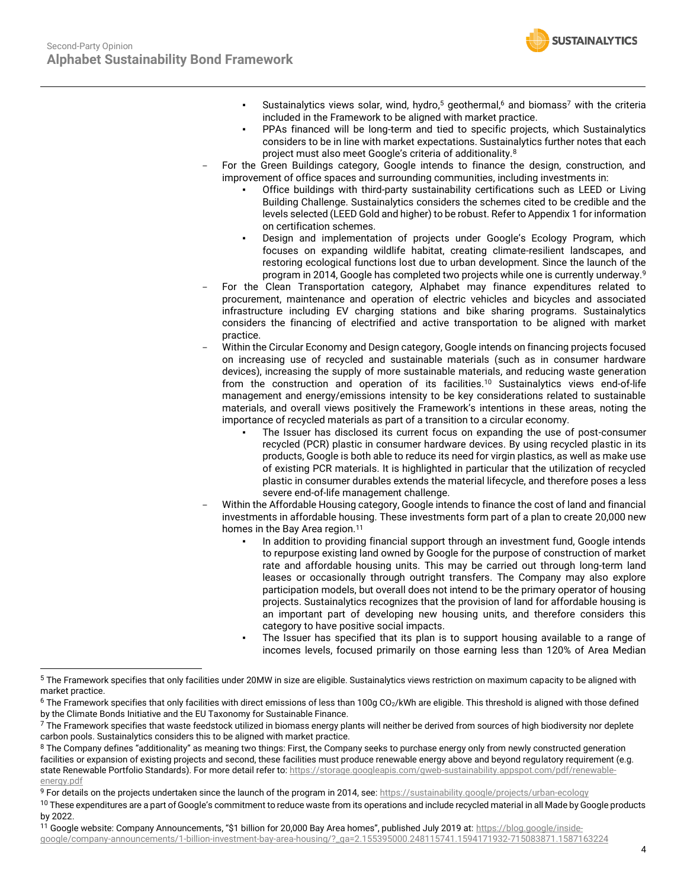

- **•** Sustainalytics views solar, wind, hydro,<sup>5</sup> geothermal,<sup>6</sup> and biomass<sup>7</sup> with the criteria included in the Framework to be aligned with market practice.
- PPAs financed will be long-term and tied to specific projects, which Sustainalytics considers to be in line with market expectations. Sustainalytics further notes that each project must also meet Google's criteria of additionality.<sup>8</sup>
- For the Green Buildings category, Google intends to finance the design, construction, and improvement of office spaces and surrounding communities, including investments in:
	- Office buildings with third-party sustainability certifications such as LEED or Living Building Challenge. Sustainalytics considers the schemes cited to be credible and the levels selected (LEED Gold and higher) to be robust. Refer to Appendix 1 for information on certification schemes.
	- Design and implementation of projects under Google's Ecology Program, which focuses on expanding wildlife habitat, creating climate-resilient landscapes, and restoring ecological functions lost due to urban development. Since the launch of the program in 2014, Google has completed two projects while one is currently underway.<sup>9</sup>
- For the Clean Transportation category, Alphabet may finance expenditures related to procurement, maintenance and operation of electric vehicles and bicycles and associated infrastructure including EV charging stations and bike sharing programs. Sustainalytics considers the financing of electrified and active transportation to be aligned with market practice.
- Within the Circular Economy and Design category, Google intends on financing projects focused on increasing use of recycled and sustainable materials (such as in consumer hardware devices), increasing the supply of more sustainable materials, and reducing waste generation from the construction and operation of its facilities.<sup>10</sup> Sustainalytics views end-of-life management and energy/emissions intensity to be key considerations related to sustainable materials, and overall views positively the Framework's intentions in these areas, noting the importance of recycled materials as part of a transition to a circular economy.
	- The Issuer has disclosed its current focus on expanding the use of post-consumer recycled (PCR) plastic in consumer hardware devices. By using recycled plastic in its products, Google is both able to reduce its need for virgin plastics, as well as make use of existing PCR materials. It is highlighted in particular that the utilization of recycled plastic in consumer durables extends the material lifecycle, and therefore poses a less severe end-of-life management challenge.
- Within the Affordable Housing category, Google intends to finance the cost of land and financial investments in affordable housing. These investments form part of a plan to create 20,000 new homes in the Bay Area region.<sup>11</sup>
	- In addition to providing financial support through an investment fund, Google intends to repurpose existing land owned by Google for the purpose of construction of market rate and affordable housing units. This may be carried out through long-term land leases or occasionally through outright transfers. The Company may also explore participation models, but overall does not intend to be the primary operator of housing projects. Sustainalytics recognizes that the provision of land for affordable housing is an important part of developing new housing units, and therefore considers this category to have positive social impacts.
	- The Issuer has specified that its plan is to support housing available to a range of incomes levels, focused primarily on those earning less than 120% of Area Median

[google/company-announcements/1-billion-investment-bay-area-housing/?\\_ga=2.155395000.248115741.1594171932-715083871.1587163224](https://blog.google/inside-google/company-announcements/1-billion-investment-bay-area-housing/?_ga=2.155395000.248115741.1594171932-715083871.1587163224)

<sup>&</sup>lt;sup>5</sup> The Framework specifies that only facilities under 20MW in size are eligible. Sustainalytics views restriction on maximum capacity to be aligned with market practice.

<sup>&</sup>lt;sup>6</sup> The Framework specifies that only facilities with direct emissions of less than 100g CO<sub>2</sub>/kWh are eligible. This threshold is aligned with those defined by the Climate Bonds Initiative and the EU Taxonomy for Sustainable Finance.

 $7$  The Framework specifies that waste feedstock utilized in biomass energy plants will neither be derived from sources of high biodiversity nor deplete carbon pools. Sustainalytics considers this to be aligned with market practice.

<sup>&</sup>lt;sup>8</sup> The Company defines "additionality" as meaning two things: First, the Company seeks to purchase energy only from newly constructed generation facilities or expansion of existing projects and second, these facilities must produce renewable energy above and beyond regulatory requirement (e.g. state Renewable Portfolio Standards). For more detail refer to[: https://storage.googleapis.com/gweb-sustainability.appspot.com/pdf/renewable](https://storage.googleapis.com/gweb-sustainability.appspot.com/pdf/renewable-energy.pdf)[energy.pdf](https://storage.googleapis.com/gweb-sustainability.appspot.com/pdf/renewable-energy.pdf)

<sup>9</sup> For details on the projects undertaken since the launch of the program in 2014, see: https://sustainability.google/projects/urban-ecology

<sup>&</sup>lt;sup>10</sup> These expenditures are a part of Google's commitment to reduce waste from its operations and include recycled material in all Made by Google products by 2022.

<sup>11</sup> Google website: Company Announcements, "\$1 billion for 20,000 Bay Area homes", published July 2019 at: [https://blog.google/inside-](https://blog.google/inside-google/company-announcements/1-billion-investment-bay-area-housing/?_ga=2.155395000.248115741.1594171932-715083871.1587163224)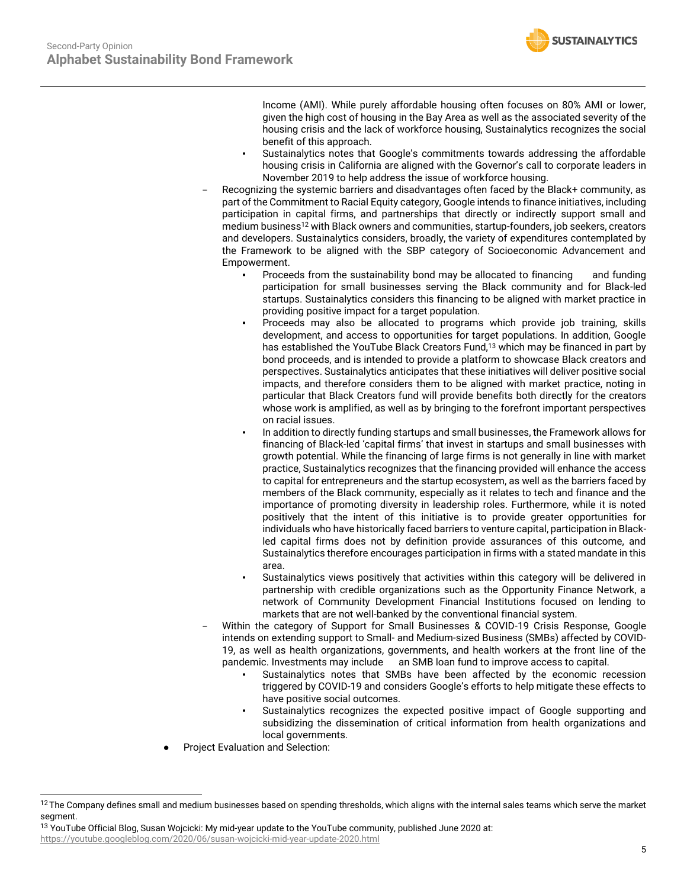

Income (AMI). While purely affordable housing often focuses on 80% AMI or lower, given the high cost of housing in the Bay Area as well as the associated severity of the housing crisis and the lack of workforce housing, Sustainalytics recognizes the social benefit of this approach.

- Sustainalytics notes that Google's commitments towards addressing the affordable housing crisis in California are aligned with the Governor's call to corporate leaders in November 2019 to help address the issue of workforce housing.
- Recognizing the systemic barriers and disadvantages often faced by the Black+ community, as part of the Commitment to Racial Equity category, Google intends to finance initiatives, including participation in capital firms, and partnerships that directly or indirectly support small and medium business<sup>12</sup> with Black owners and communities, startup-founders, job seekers, creators and developers. Sustainalytics considers, broadly, the variety of expenditures contemplated by the Framework to be aligned with the SBP category of Socioeconomic Advancement and Empowerment.
	- Proceeds from the sustainability bond may be allocated to financing and funding participation for small businesses serving the Black community and for Black-led startups. Sustainalytics considers this financing to be aligned with market practice in providing positive impact for a target population.
	- Proceeds may also be allocated to programs which provide job training, skills development, and access to opportunities for target populations. In addition, Google has established the YouTube Black Creators Fund,<sup>13</sup> which may be financed in part by bond proceeds, and is intended to provide a platform to showcase Black creators and perspectives. Sustainalytics anticipates that these initiatives will deliver positive social impacts, and therefore considers them to be aligned with market practice, noting in particular that Black Creators fund will provide benefits both directly for the creators whose work is amplified, as well as by bringing to the forefront important perspectives on racial issues.
	- In addition to directly funding startups and small businesses, the Framework allows for financing of Black-led 'capital firms' that invest in startups and small businesses with growth potential. While the financing of large firms is not generally in line with market practice, Sustainalytics recognizes that the financing provided will enhance the access to capital for entrepreneurs and the startup ecosystem, as well as the barriers faced by members of the Black community, especially as it relates to tech and finance and the importance of promoting diversity in leadership roles. Furthermore, while it is noted positively that the intent of this initiative is to provide greater opportunities for individuals who have historically faced barriers to venture capital, participation in Blackled capital firms does not by definition provide assurances of this outcome, and Sustainalytics therefore encourages participation in firms with a stated mandate in this area.
	- Sustainalytics views positively that activities within this category will be delivered in partnership with credible organizations such as the Opportunity Finance Network, a network of Community Development Financial Institutions focused on lending to markets that are not well-banked by the conventional financial system.
- Within the category of Support for Small Businesses & COVID-19 Crisis Response, Google intends on extending support to Small- and Medium-sized Business (SMBs) affected by COVID-19, as well as health organizations, governments, and health workers at the front line of the pandemic. Investments may include an SMB loan fund to improve access to capital.
	- Sustainalytics notes that SMBs have been affected by the economic recession triggered by COVID-19 and considers Google's efforts to help mitigate these effects to have positive social outcomes.
	- Sustainalytics recognizes the expected positive impact of Google supporting and subsidizing the dissemination of critical information from health organizations and local governments.
- Project Evaluation and Selection:

<sup>13</sup> YouTube Official Blog, Susan Wojcicki: My mid-year update to the YouTube community, published June 2020 at:

https://youtube.googleblog.com/2020/06/susan-wojcicki-mid-year-update-2020.html

 $12$  The Company defines small and medium businesses based on spending thresholds, which aligns with the internal sales teams which serve the market segment.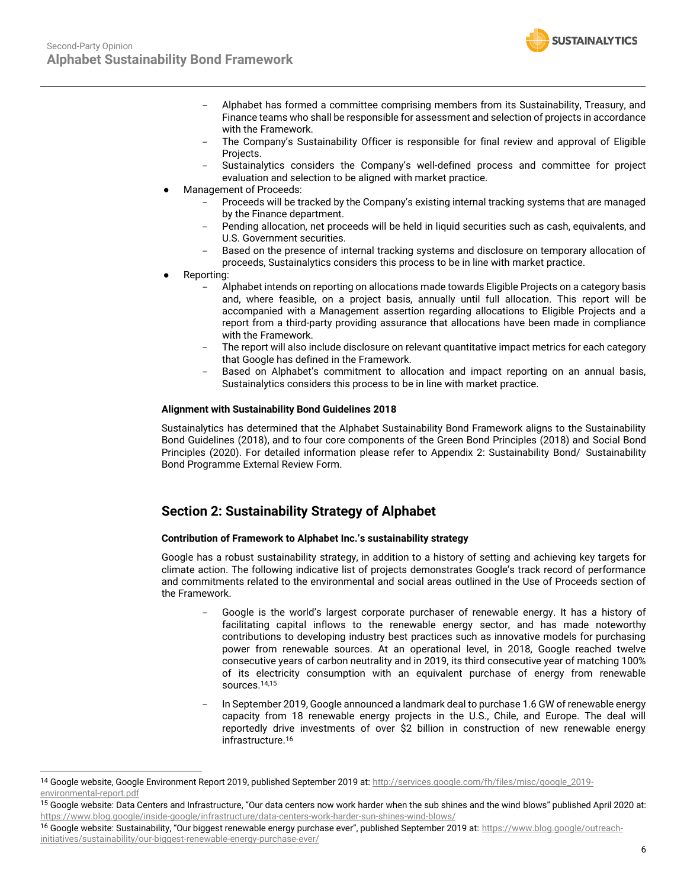

- Alphabet has formed a committee comprising members from its Sustainability, Treasury, and Finance teams who shall be responsible for assessment and selection of projects in accordance with the Framework.
- The Company's Sustainability Officer is responsible for final review and approval of Eligible Projects.
- Sustainalytics considers the Company's well-defined process and committee for project evaluation and selection to be aligned with market practice.
- Management of Proceeds:
	- Proceeds will be tracked by the Company's existing internal tracking systems that are managed by the Finance department.
	- Pending allocation, net proceeds will be held in liquid securities such as cash, equivalents, and U.S. Government securities.
	- Based on the presence of internal tracking systems and disclosure on temporary allocation of proceeds, Sustainalytics considers this process to be in line with market practice.
- Reporting:
	- Alphabet intends on reporting on allocations made towards Eligible Projects on a category basis and, where feasible, on a project basis, annually until full allocation. This report will be accompanied with a Management assertion regarding allocations to Eligible Projects and a report from a third-party providing assurance that allocations have been made in compliance with the Framework.
	- The report will also include disclosure on relevant quantitative impact metrics for each category that Google has defined in the Framework.
	- Based on Alphabet's commitment to allocation and impact reporting on an annual basis, Sustainalytics considers this process to be in line with market practice.

## **Alignment with Sustainability Bond Guidelines 2018**

Sustainalytics has determined that the Alphabet Sustainability Bond Framework aligns to the Sustainability Bond Guidelines (2018), and to four core components of the Green Bond Principles (2018) and Social Bond Principles (2020). For detailed information please refer to Appendix 2: Sustainability Bond/ Sustainability Bond Programme External Review Form.

## **Section 2: Sustainability Strategy of Alphabet**

## **Contribution of Framework to Alphabet Inc.'s sustainability strategy**

Google has a robust sustainability strategy, in addition to a history of setting and achieving key targets for climate action. The following indicative list of projects demonstrates Google's track record of performance and commitments related to the environmental and social areas outlined in the Use of Proceeds section of the Framework.

- Google is the world's largest corporate purchaser of renewable energy. It has a history of facilitating capital inflows to the renewable energy sector, and has made noteworthy contributions to developing industry best practices such as innovative models for purchasing power from renewable sources. At an operational level, in 2018, Google reached twelve consecutive years of carbon neutrality and in 2019, its third consecutive year of matching 100% of its electricity consumption with an equivalent purchase of energy from renewable sources.14,15
- In September 2019, Google announced a landmark deal to purchase 1.6 GW of renewable energy capacity from 18 renewable energy projects in the U.S., Chile, and Europe. The deal will reportedly drive investments of over \$2 billion in construction of new renewable energy infrastructure.<sup>16</sup>

<sup>14</sup> Google website, Google Environment Report 2019, published September 2019 at: [http://services.google.com/fh/files/misc/google\\_2019](http://services.google.com/fh/files/misc/google_2019-environmental-report.pdf) [environmental-report.pdf](http://services.google.com/fh/files/misc/google_2019-environmental-report.pdf)

<sup>&</sup>lt;sup>15</sup> Google website: Data Centers and Infrastructure, "Our data centers now work harder when the sub shines and the wind blows" published April 2020 at: https://www.blog.google/inside-google/infrastructure/data-centers-work-harder-sun-shines-wind-blows/

<sup>16</sup> Google website: Sustainability, "Our biggest renewable energy purchase ever", published September 2019 at: [https://www.blog.google/outreach](https://www.blog.google/outreach-initiatives/sustainability/our-biggest-renewable-energy-purchase-ever/)[initiatives/sustainability/our-biggest-renewable-energy-purchase-ever/](https://www.blog.google/outreach-initiatives/sustainability/our-biggest-renewable-energy-purchase-ever/)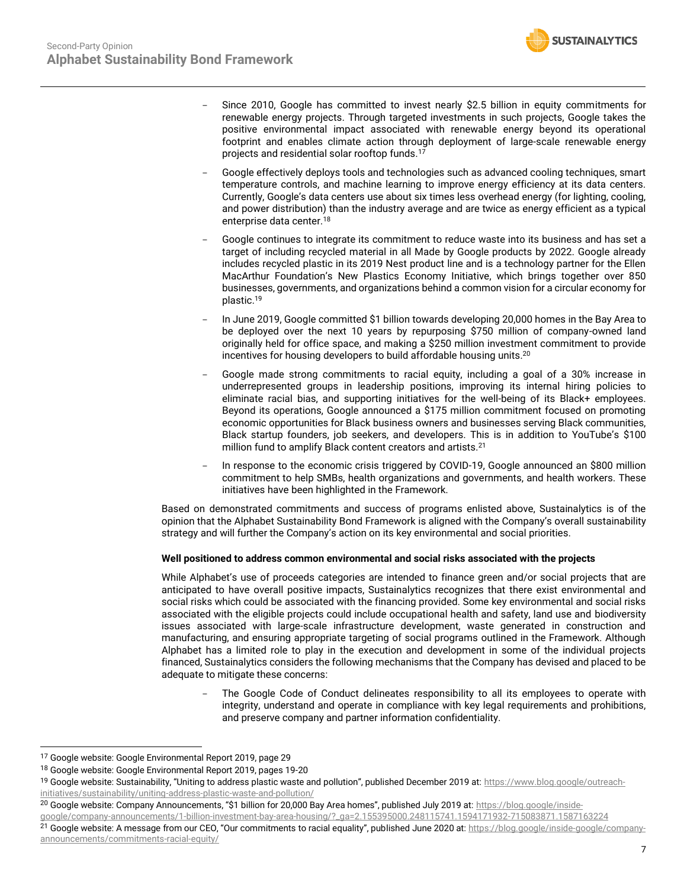

- Since 2010, Google has committed to invest nearly \$2.5 billion in equity commitments for renewable energy projects. Through targeted investments in such projects, Google takes the positive environmental impact associated with renewable energy beyond its operational footprint and enables climate action through deployment of large-scale renewable energy projects and residential solar rooftop funds.<sup>17</sup>
- Google effectively deploys tools and technologies such as advanced cooling techniques, smart temperature controls, and machine learning to improve energy efficiency at its data centers. Currently, Google's data centers use about six times less overhead energy (for lighting, cooling, and power distribution) than the industry average and are twice as energy efficient as a typical enterprise data center.<sup>18</sup>
- Google continues to integrate its commitment to reduce waste into its business and has set a target of including recycled material in all Made by Google products by 2022. Google already includes recycled plastic in its 2019 Nest product line and is a technology partner for the Ellen MacArthur Foundation's New Plastics Economy Initiative, which brings together over 850 businesses, governments, and organizations behind a common vision for a circular economy for plastic.<sup>19</sup>
- In June 2019, Google committed \$1 billion towards developing 20,000 homes in the Bay Area to be deployed over the next 10 years by repurposing \$750 million of company-owned land originally held for office space, and making a \$250 million investment commitment to provide incentives for housing developers to build affordable housing units.<sup>20</sup>
- Google made strong commitments to racial equity, including a goal of a 30% increase in underrepresented groups in leadership positions, improving its internal hiring policies to eliminate racial bias, and supporting initiatives for the well-being of its Black+ employees. Beyond its operations, Google announced a \$175 million commitment focused on promoting economic opportunities for Black business owners and businesses serving Black communities, Black startup founders, job seekers, and developers. This is in addition to YouTube's \$100 million fund to amplify Black content creators and artists.<sup>21</sup>
- In response to the economic crisis triggered by COVID-19, Google announced an \$800 million commitment to help SMBs, health organizations and governments, and health workers. These initiatives have been highlighted in the Framework.

Based on demonstrated commitments and success of programs enlisted above, Sustainalytics is of the opinion that the Alphabet Sustainability Bond Framework is aligned with the Company's overall sustainability strategy and will further the Company's action on its key environmental and social priorities.

## **Well positioned to address common environmental and social risks associated with the projects**

While Alphabet's use of proceeds categories are intended to finance green and/or social projects that are anticipated to have overall positive impacts, Sustainalytics recognizes that there exist environmental and social risks which could be associated with the financing provided. Some key environmental and social risks associated with the eligible projects could include occupational health and safety, land use and biodiversity issues associated with large-scale infrastructure development, waste generated in construction and manufacturing, and ensuring appropriate targeting of social programs outlined in the Framework. Although Alphabet has a limited role to play in the execution and development in some of the individual projects financed, Sustainalytics considers the following mechanisms that the Company has devised and placed to be adequate to mitigate these concerns:

The Google Code of Conduct delineates responsibility to all its employees to operate with integrity, understand and operate in compliance with key legal requirements and prohibitions, and preserve company and partner information confidentiality.

[announcements/commitments-racial-equity/](https://blog.google/inside-google/company-announcements/commitments-racial-equity/)

<sup>17</sup> Google website: Google Environmental Report 2019, page 29

<sup>&</sup>lt;sup>18</sup> Google website: Google Environmental Report 2019, pages 19-20

<sup>&</sup>lt;sup>19</sup> Google website: Sustainability, "Uniting to address plastic waste and pollution", published December 2019 at: [https://www.blog.google/outreach](https://www.blog.google/outreach-initiatives/sustainability/uniting-address-plastic-waste-and-pollution/)[initiatives/sustainability/uniting-address-plastic-waste-and-pollution/](https://www.blog.google/outreach-initiatives/sustainability/uniting-address-plastic-waste-and-pollution/)

<sup>&</sup>lt;sup>20</sup> Google website: Company Announcements, "\$1 billion for 20,000 Bay Area homes", published July 2019 at: [https://blog.google/inside-](https://blog.google/inside-google/company-announcements/1-billion-investment-bay-area-housing/?_ga=2.155395000.248115741.1594171932-715083871.1587163224)

[google/company-announcements/1-billion-investment-bay-area-housing/?\\_ga=2.155395000.248115741.1594171932-715083871.1587163224](https://blog.google/inside-google/company-announcements/1-billion-investment-bay-area-housing/?_ga=2.155395000.248115741.1594171932-715083871.1587163224) <sup>21</sup> Google website: A message from our CEO, "Our commitments to racial equality", published June 2020 at[: https://blog.google/inside-google/company-](https://blog.google/inside-google/company-announcements/commitments-racial-equity/)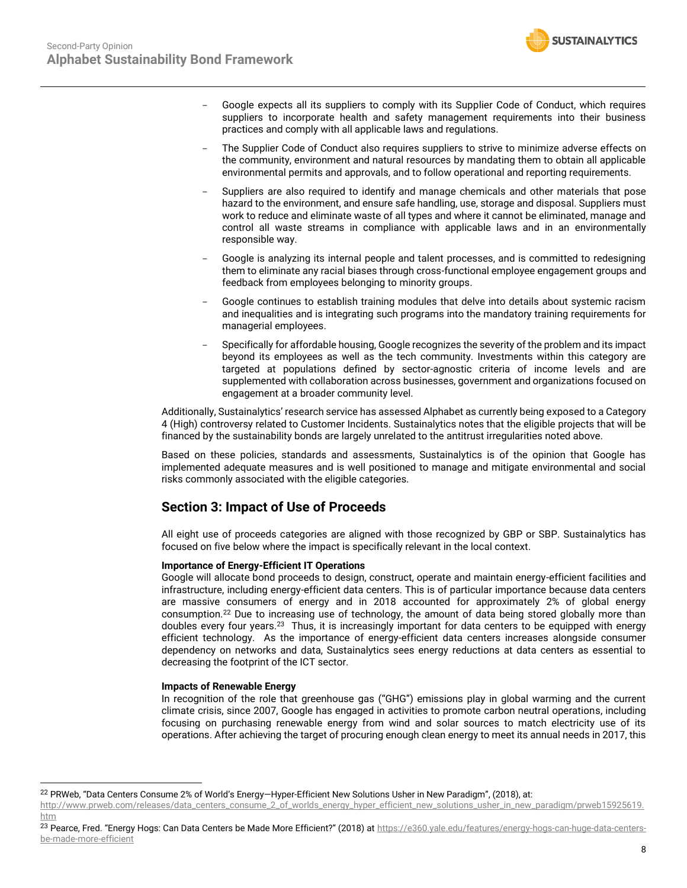

- Google expects all its suppliers to comply with its Supplier Code of Conduct, which requires suppliers to incorporate health and safety management requirements into their business practices and comply with all applicable laws and regulations.
- The Supplier Code of Conduct also requires suppliers to strive to minimize adverse effects on the community, environment and natural resources by mandating them to obtain all applicable environmental permits and approvals, and to follow operational and reporting requirements.
- Suppliers are also required to identify and manage chemicals and other materials that pose hazard to the environment, and ensure safe handling, use, storage and disposal. Suppliers must work to reduce and eliminate waste of all types and where it cannot be eliminated, manage and control all waste streams in compliance with applicable laws and in an environmentally responsible way.
- Google is analyzing its internal people and talent processes, and is committed to redesigning them to eliminate any racial biases through cross-functional employee engagement groups and feedback from employees belonging to minority groups.
- Google continues to establish training modules that delve into details about systemic racism and inequalities and is integrating such programs into the mandatory training requirements for managerial employees.
- Specifically for affordable housing, Google recognizes the severity of the problem and its impact beyond its employees as well as the tech community. Investments within this category are targeted at populations defined by sector-agnostic criteria of income levels and are supplemented with collaboration across businesses, government and organizations focused on engagement at a broader community level.

Additionally, Sustainalytics' research service has assessed Alphabet as currently being exposed to a Category 4 (High) controversy related to Customer Incidents. Sustainalytics notes that the eligible projects that will be financed by the sustainability bonds are largely unrelated to the antitrust irregularities noted above.

Based on these policies, standards and assessments, Sustainalytics is of the opinion that Google has implemented adequate measures and is well positioned to manage and mitigate environmental and social risks commonly associated with the eligible categories.

## **Section 3: Impact of Use of Proceeds**

All eight use of proceeds categories are aligned with those recognized by GBP or SBP. Sustainalytics has focused on five below where the impact is specifically relevant in the local context.

## **Importance of Energy-Efficient IT Operations**

Google will allocate bond proceeds to design, construct, operate and maintain energy-efficient facilities and infrastructure, including energy-efficient data centers. This is of particular importance because data centers are massive consumers of energy and in 2018 accounted for approximately 2% of global energy consumption.<sup>22</sup> Due to increasing use of technology, the amount of data being stored globally more than doubles every four years.<sup>23</sup> Thus, it is increasingly important for data centers to be equipped with energy efficient technology. As the importance of energy-efficient data centers increases alongside consumer dependency on networks and data, Sustainalytics sees energy reductions at data centers as essential to decreasing the footprint of the ICT sector.

## **Impacts of Renewable Energy**

In recognition of the role that greenhouse gas ("GHG") emissions play in global warming and the current climate crisis, since 2007, Google has engaged in activities to promote carbon neutral operations, including focusing on purchasing renewable energy from wind and solar sources to match electricity use of its operations. After achieving the target of procuring enough clean energy to meet its annual needs in 2017, this

[http://www.prweb.com/releases/data\\_centers\\_consume\\_2\\_of\\_worlds\\_energy\\_hyper\\_efficient\\_new\\_solutions\\_usher\\_in\\_new\\_paradigm/prweb15925619.](http://www.prweb.com/releases/data_centers_consume_2_of_worlds_energy_hyper_efficient_new_solutions_usher_in_new_paradigm/prweb15925619.htm) [htm](http://www.prweb.com/releases/data_centers_consume_2_of_worlds_energy_hyper_efficient_new_solutions_usher_in_new_paradigm/prweb15925619.htm) 

23 Pearce, Fred. "Energy Hogs: Can Data Centers be Made More Efficient?" (2018) at [https://e360.yale.edu/features/energy-hogs-can-huge-data-centers](https://e360.yale.edu/features/energy-hogs-can-huge-data-centers-be-made-more-efficient)[be-made-more-efficient](https://e360.yale.edu/features/energy-hogs-can-huge-data-centers-be-made-more-efficient)

<sup>&</sup>lt;sup>22</sup> PRWeb, "Data Centers Consume 2% of World's Energy-Hyper-Efficient New Solutions Usher in New Paradigm", (2018), at: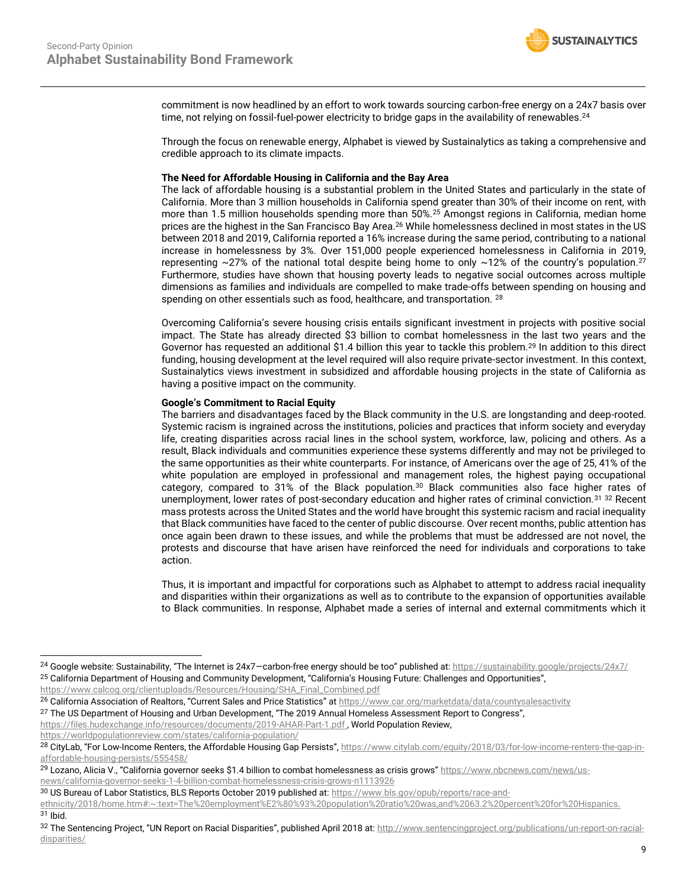

commitment is now headlined by an effort to work towards sourcing carbon-free energy on a 24x7 basis over time, not relying on fossil-fuel-power electricity to bridge gaps in the availability of renewables.<sup>24</sup>

Through the focus on renewable energy, Alphabet is viewed by Sustainalytics as taking a comprehensive and credible approach to its climate impacts.

#### **The Need for Affordable Housing in California and the Bay Area**

The lack of affordable housing is a substantial problem in the United States and particularly in the state of California. More than 3 million households in California spend greater than 30% of their income on rent, with more than 1.5 million households spending more than 50%.<sup>25</sup> Amongst regions in California, median home prices are the highest in the San Francisco Bay Area.<sup>26</sup> While homelessness declined in most states in the US between 2018 and 2019, California reported a 16% increase during the same period, contributing to a national increase in homelessness by 3%. Over 151,000 people experienced homelessness in California in 2019, representing  $\sim$ 27% of the national total despite being home to only  $\sim$ 12% of the country's population.<sup>27</sup> Furthermore, studies have shown that housing poverty leads to negative social outcomes across multiple dimensions as families and individuals are compelled to make trade-offs between spending on housing and spending on other essentials such as food, healthcare, and transportation. 28

Overcoming California's severe housing crisis entails significant investment in projects with positive social impact. The State has already directed \$3 billion to combat homelessness in the last two years and the Governor has requested an additional \$1.4 billion this year to tackle this problem.<sup>29</sup> In addition to this direct funding, housing development at the level required will also require private-sector investment. In this context, Sustainalytics views investment in subsidized and affordable housing projects in the state of California as having a positive impact on the community.

#### **Google's Commitment to Racial Equity**

The barriers and disadvantages faced by the Black community in the U.S. are longstanding and deep-rooted. Systemic racism is ingrained across the institutions, policies and practices that inform society and everyday life, creating disparities across racial lines in the school system, workforce, law, policing and others. As a result, Black individuals and communities experience these systems differently and may not be privileged to the same opportunities as their white counterparts. For instance, of Americans over the age of 25, 41% of the white population are employed in professional and management roles, the highest paying occupational category, compared to 31% of the Black population.<sup>30</sup> Black communities also face higher rates of unemployment, lower rates of post-secondary education and higher rates of criminal conviction.<sup>31 32</sup> Recent mass protests across the United States and the world have brought this systemic racism and racial inequality that Black communities have faced to the center of public discourse. Over recent months, public attention has once again been drawn to these issues, and while the problems that must be addressed are not novel, the protests and discourse that have arisen have reinforced the need for individuals and corporations to take action.

Thus, it is important and impactful for corporations such as Alphabet to attempt to address racial inequality and disparities within their organizations as well as to contribute to the expansion of opportunities available to Black communities. In response, Alphabet made a series of internal and external commitments which it

[https://www.calcog.org/clientuploads/Resources/Housing/SHA\\_Final\\_Combined.pdf](https://www.calcog.org/clientuploads/Resources/Housing/SHA_Final_Combined.pdf)

<sup>27</sup> The US Department of Housing and Urban Development, "The 2019 Annual Homeless Assessment Report to Congress",

<https://files.hudexchange.info/resources/documents/2019-AHAR-Part-1.pdf>, World Population Review, <https://worldpopulationreview.com/states/california-population/>

<sup>&</sup>lt;sup>24</sup> Google website: Sustainability, "The Internet is 24x7-carbon-free energy should be too" published at: <https://sustainability.google/projects/24x7/> <sup>25</sup> California Department of Housing and Community Development, "California's Housing Future: Challenges and Opportunities",

<sup>26</sup> California Association of Realtors, "Current Sales and Price Statistics" at <https://www.car.org/marketdata/data/countysalesactivity>

<sup>28</sup> CityLab, "For Low-Income Renters, the Affordable Housing Gap Persists", [https://www.citylab.com/equity/2018/03/for-low-income-renters-the-gap-in](https://www.citylab.com/equity/2018/03/for-low-income-renters-the-gap-in-affordable-housing-persists/555458/)[affordable-housing-persists/555458/](https://www.citylab.com/equity/2018/03/for-low-income-renters-the-gap-in-affordable-housing-persists/555458/)

<sup>&</sup>lt;sup>29</sup> Lozano, Alicia V., "California governor seeks \$1.4 billion to combat homelessness as crisis grows" [https://www.nbcnews.com/news/us](https://www.nbcnews.com/news/us-news/california-governor-seeks-1-4-billion-combat-homelessness-crisis-grows-n1113926)[news/california-governor-seeks-1-4-billion-combat-homelessness-crisis-grows-n1113926](https://www.nbcnews.com/news/us-news/california-governor-seeks-1-4-billion-combat-homelessness-crisis-grows-n1113926)

<sup>30</sup> US Bureau of Labor Statistics, BLS Reports October 2019 published at[: https://www.bls.gov/opub/reports/race-and-](https://www.bls.gov/opub/reports/race-and-ethnicity/2018/home.htm#:~:text=The%20employment%E2%80%93%20population%20ratio%20was,and%2063.2%20percent%20for%20Hispanics.)

[ethnicity/2018/home.htm#:~:text=The%20employment%E2%80%93%20population%20ratio%20was,and%2063.2%20percent%20for%20Hispanics.](https://www.bls.gov/opub/reports/race-and-ethnicity/2018/home.htm#:~:text=The%20employment%E2%80%93%20population%20ratio%20was,and%2063.2%20percent%20for%20Hispanics.)

<sup>31</sup> Ibid.

<sup>32</sup> The Sentencing Project, "UN Report on Racial Disparities", published April 2018 at: [http://www.sentencingproject.org/publications/un-report-on-racial](http://www.sentencingproject.org/publications/un-report-on-racial-disparities/)[disparities/](http://www.sentencingproject.org/publications/un-report-on-racial-disparities/)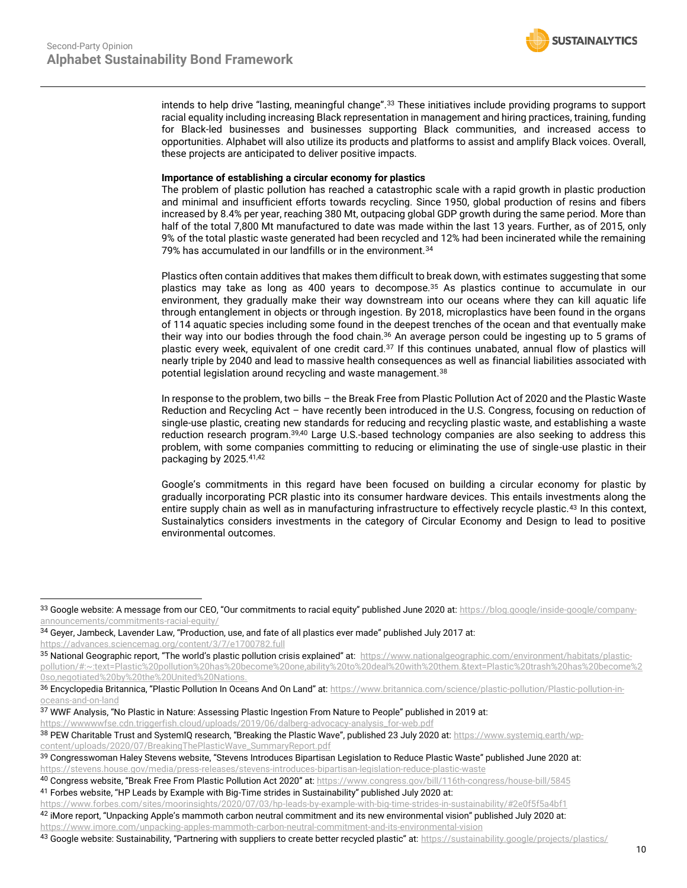

intends to help drive "lasting, meaningful change".<sup>33</sup> These initiatives include providing programs to support racial equality including increasing Black representation in management and hiring practices, training, funding for Black-led businesses and businesses supporting Black communities, and increased access to opportunities. Alphabet will also utilize its products and platforms to assist and amplify Black voices. Overall, these projects are anticipated to deliver positive impacts.

#### **Importance of establishing a circular economy for plastics**

The problem of plastic pollution has reached a catastrophic scale with a rapid growth in plastic production and minimal and insufficient efforts towards recycling. Since 1950, global production of resins and fibers increased by 8.4% per year, reaching 380 Mt, outpacing global GDP growth during the same period. More than half of the total 7,800 Mt manufactured to date was made within the last 13 years. Further, as of 2015, only 9% of the total plastic waste generated had been recycled and 12% had been incinerated while the remaining 79% has accumulated in our landfills or in the environment.<sup>34</sup>

Plastics often contain additives that makes them difficult to break down, with estimates suggesting that some plastics may take as long as 400 years to decompose.<sup>35</sup> As plastics continue to accumulate in our environment, they gradually make their way downstream into our oceans where they can kill aquatic life through entanglement in objects or through ingestion. By 2018, microplastics have been found in the organs of 114 aquatic species including some found in the deepest trenches of the ocean and that eventually make their way into our bodies through the food chain.<sup>36</sup> An average person could be ingesting up to 5 grams of plastic every week, equivalent of one credit card.<sup>37</sup> If this continues unabated, annual flow of plastics will nearly triple by 2040 and lead to massive health consequences as well as financial liabilities associated with potential legislation around recycling and waste management.<sup>38</sup>

In response to the problem, two bills – the Break Free from Plastic Pollution Act of 2020 and the Plastic Waste Reduction and Recycling Act – have recently been introduced in the U.S. Congress, focusing on reduction of single-use plastic, creating new standards for reducing and recycling plastic waste, and establishing a waste reduction research program.39,40 Large U.S.-based technology companies are also seeking to address this problem, with some companies committing to reducing or eliminating the use of single-use plastic in their packaging by 2025.41,42

Google's commitments in this regard have been focused on building a circular economy for plastic by gradually incorporating PCR plastic into its consumer hardware devices. This entails investments along the entire supply chain as well as in manufacturing infrastructure to effectively recycle plastic.<sup>43</sup> In this context, Sustainalytics considers investments in the category of Circular Economy and Design to lead to positive environmental outcomes.

<sup>33</sup> Google website: A message from our CEO, "Our commitments to racial equity" published June 2020 at: [https://blog.google/inside-google/company](https://blog.google/inside-google/company-announcements/commitments-racial-equity/)[announcements/commitments-racial-equity/](https://blog.google/inside-google/company-announcements/commitments-racial-equity/)

<sup>&</sup>lt;sup>34</sup> Geyer, Jambeck, Lavender Law, "Production, use, and fate of all plastics ever made" published July 2017 at: <https://advances.sciencemag.org/content/3/7/e1700782.full>

<sup>35</sup> National Geographic report, "The world's plastic pollution crisis explained" at: [https://www.nationalgeographic.com/environment/habitats/plastic](https://www.nationalgeographic.com/environment/habitats/plastic-pollution/#:~:text=Plastic%20pollution%20has%20become%20one,ability%20to%20deal%20with%20them.&text=Plastic%20trash%20has%20become%20so,negotiated%20by%20the%20United%20Nations.)[pollution/#:~:text=Plastic%20pollution%20has%20become%20one,ability%20to%20deal%20with%20them.&text=Plastic%20trash%20has%20become%2](https://www.nationalgeographic.com/environment/habitats/plastic-pollution/#:~:text=Plastic%20pollution%20has%20become%20one,ability%20to%20deal%20with%20them.&text=Plastic%20trash%20has%20become%20so,negotiated%20by%20the%20United%20Nations.) [0so,negotiated%20by%20the%20United%20Nations.](https://www.nationalgeographic.com/environment/habitats/plastic-pollution/#:~:text=Plastic%20pollution%20has%20become%20one,ability%20to%20deal%20with%20them.&text=Plastic%20trash%20has%20become%20so,negotiated%20by%20the%20United%20Nations.)

<sup>36</sup> Encyclopedia Britannica, "Plastic Pollution In Oceans And On Land" at: [https://www.britannica.com/science/plastic-pollution/Plastic-pollution-in](https://www.britannica.com/science/plastic-pollution/Plastic-pollution-in-oceans-and-on-land)[oceans-and-on-land](https://www.britannica.com/science/plastic-pollution/Plastic-pollution-in-oceans-and-on-land)

<sup>37</sup> WWF Analysis, "No Plastic in Nature: Assessing Plastic Ingestion From Nature to People" published in 2019 at: [https://wwwwwfse.cdn.triggerfish.cloud/uploads/2019/06/dalberg-advocacy-analysis\\_for-web.pdf](https://wwwwwfse.cdn.triggerfish.cloud/uploads/2019/06/dalberg-advocacy-analysis_for-web.pdf)

<sup>38</sup> PEW Charitable Trust and SystemIQ research, "Breaking the Plastic Wave", published 23 July 2020 at: [https://www.systemiq.earth/wp](https://www.systemiq.earth/wp-content/uploads/2020/07/BreakingThePlasticWave_SummaryReport.pdf)[content/uploads/2020/07/BreakingThePlasticWave\\_SummaryReport.pdf](https://www.systemiq.earth/wp-content/uploads/2020/07/BreakingThePlasticWave_SummaryReport.pdf)

<sup>&</sup>lt;sup>39</sup> Congresswoman Haley Stevens website, "Stevens Introduces Bipartisan Legislation to Reduce Plastic Waste" published June 2020 at: <https://stevens.house.gov/media/press-releases/stevens-introduces-bipartisan-legislation-reduce-plastic-waste>

<sup>40</sup> Congress website, "Break Free From Plastic Pollution Act 2020" at: <https://www.congress.gov/bill/116th-congress/house-bill/5845> <sup>41</sup> Forbes website, "HP Leads by Example with Big-Time strides in Sustainability" published July 2020 at:

<https://www.forbes.com/sites/moorinsights/2020/07/03/hp-leads-by-example-with-big-time-strides-in-sustainability/#2e0f5f5a4bf1>

<sup>42</sup> iMore report, "Unpacking Apple's mammoth carbon neutral commitment and its new environmental vision" published July 2020 at: <https://www.imore.com/unpacking-apples-mammoth-carbon-neutral-commitment-and-its-environmental-vision>

<sup>43</sup> Google website: Sustainability, "Partnering with suppliers to create better recycled plastic" at: <https://sustainability.google/projects/plastics/>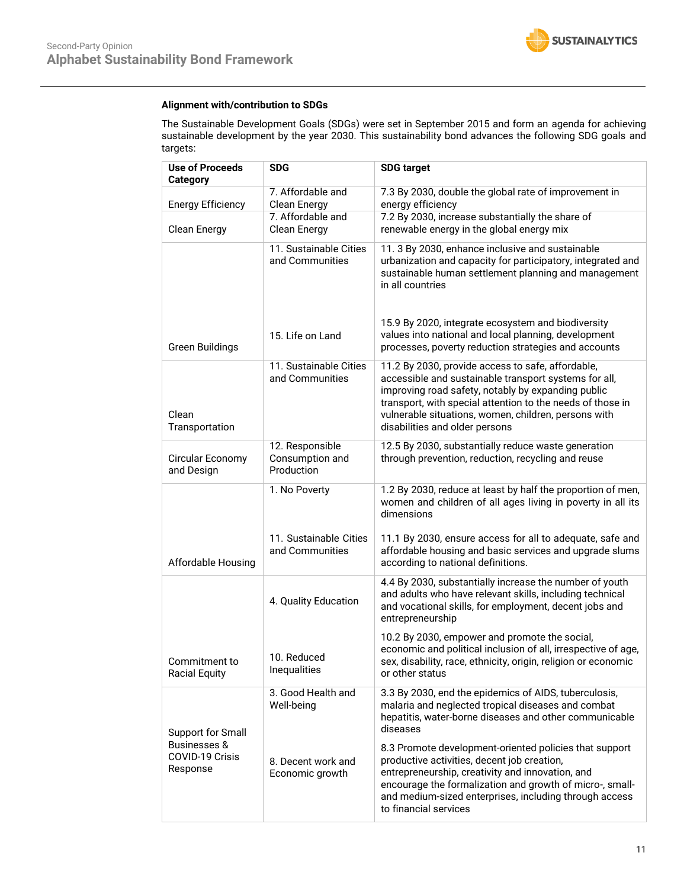## **Alignment with/contribution to SDGs**

The Sustainable Development Goals (SDGs) were set in September 2015 and form an agenda for achieving sustainable development by the year 2030. This sustainability bond advances the following SDG goals and targets:

| <b>Use of Proceeds</b><br><b>Category</b>              | SDG                                              | <b>SDG target</b>                                                                                                                                                                                                                                                                                                        |  |  |
|--------------------------------------------------------|--------------------------------------------------|--------------------------------------------------------------------------------------------------------------------------------------------------------------------------------------------------------------------------------------------------------------------------------------------------------------------------|--|--|
| <b>Energy Efficiency</b>                               | 7. Affordable and<br>Clean Energy                | 7.3 By 2030, double the global rate of improvement in<br>energy efficiency                                                                                                                                                                                                                                               |  |  |
| Clean Energy                                           | 7. Affordable and<br>Clean Energy                | 7.2 By 2030, increase substantially the share of<br>renewable energy in the global energy mix                                                                                                                                                                                                                            |  |  |
|                                                        | 11. Sustainable Cities<br>and Communities        | 11. 3 By 2030, enhance inclusive and sustainable<br>urbanization and capacity for participatory, integrated and<br>sustainable human settlement planning and management<br>in all countries                                                                                                                              |  |  |
| Green Buildings                                        | 15. Life on Land                                 | 15.9 By 2020, integrate ecosystem and biodiversity<br>values into national and local planning, development<br>processes, poverty reduction strategies and accounts                                                                                                                                                       |  |  |
| Clean<br>Transportation                                | 11. Sustainable Cities<br>and Communities        | 11.2 By 2030, provide access to safe, affordable,<br>accessible and sustainable transport systems for all,<br>improving road safety, notably by expanding public<br>transport, with special attention to the needs of those in<br>vulnerable situations, women, children, persons with<br>disabilities and older persons |  |  |
| Circular Economy<br>and Design                         | 12. Responsible<br>Consumption and<br>Production | 12.5 By 2030, substantially reduce waste generation<br>through prevention, reduction, recycling and reuse                                                                                                                                                                                                                |  |  |
|                                                        | 1. No Poverty                                    | 1.2 By 2030, reduce at least by half the proportion of men,<br>women and children of all ages living in poverty in all its<br>dimensions                                                                                                                                                                                 |  |  |
| Affordable Housing                                     | 11. Sustainable Cities<br>and Communities        | 11.1 By 2030, ensure access for all to adequate, safe and<br>affordable housing and basic services and upgrade slums<br>according to national definitions.                                                                                                                                                               |  |  |
|                                                        | 4. Quality Education                             | 4.4 By 2030, substantially increase the number of youth<br>and adults who have relevant skills, including technical<br>and vocational skills, for employment, decent jobs and<br>entrepreneurship                                                                                                                        |  |  |
| Commitment to<br><b>Racial Equity</b>                  | 10. Reduced<br>Inequalities                      | 10.2 By 2030, empower and promote the social,<br>economic and political inclusion of all, irrespective of age,<br>sex, disability, race, ethnicity, origin, religion or economic<br>or other status                                                                                                                      |  |  |
| Support for Small                                      | 3. Good Health and<br>Well-being                 | 3.3 By 2030, end the epidemics of AIDS, tuberculosis,<br>malaria and neglected tropical diseases and combat<br>hepatitis, water-borne diseases and other communicable<br>diseases                                                                                                                                        |  |  |
| <b>Businesses &amp;</b><br>COVID-19 Crisis<br>Response | 8. Decent work and<br>Economic growth            | 8.3 Promote development-oriented policies that support<br>productive activities, decent job creation,<br>entrepreneurship, creativity and innovation, and<br>encourage the formalization and growth of micro-, small-<br>and medium-sized enterprises, including through access<br>to financial services                 |  |  |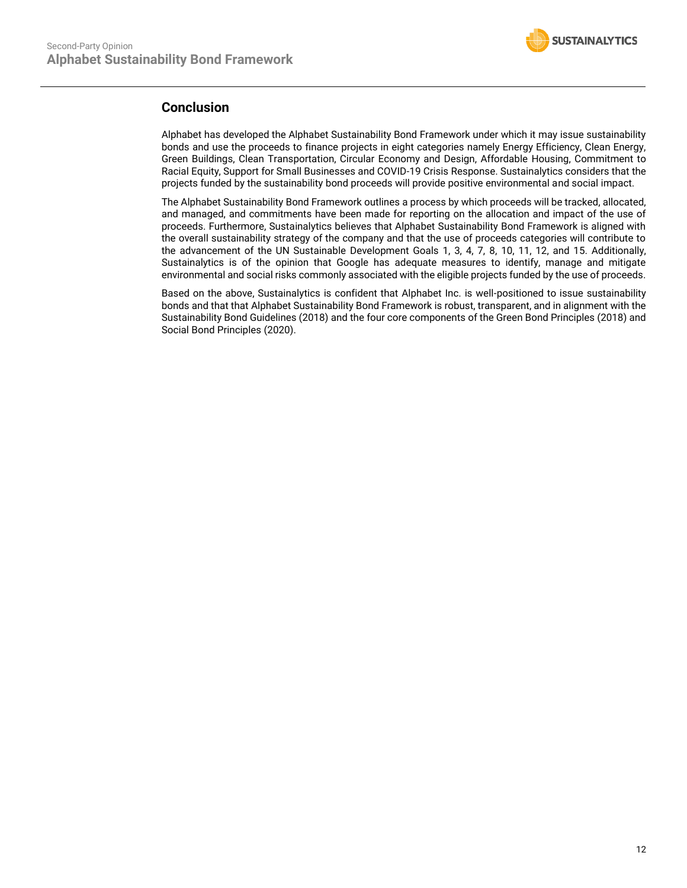

## **Conclusion**

Alphabet has developed the Alphabet Sustainability Bond Framework under which it may issue sustainability bonds and use the proceeds to finance projects in eight categories namely Energy Efficiency, Clean Energy, Green Buildings, Clean Transportation, Circular Economy and Design, Affordable Housing, Commitment to Racial Equity, Support for Small Businesses and COVID-19 Crisis Response. Sustainalytics considers that the projects funded by the sustainability bond proceeds will provide positive environmental and social impact.

The Alphabet Sustainability Bond Framework outlines a process by which proceeds will be tracked, allocated, and managed, and commitments have been made for reporting on the allocation and impact of the use of proceeds. Furthermore, Sustainalytics believes that Alphabet Sustainability Bond Framework is aligned with the overall sustainability strategy of the company and that the use of proceeds categories will contribute to the advancement of the UN Sustainable Development Goals 1, 3, 4, 7, 8, 10, 11, 12, and 15. Additionally, Sustainalytics is of the opinion that Google has adequate measures to identify, manage and mitigate environmental and social risks commonly associated with the eligible projects funded by the use of proceeds.

<span id="page-11-0"></span>Based on the above, Sustainalytics is confident that Alphabet Inc. is well-positioned to issue sustainability bonds and that that Alphabet Sustainability Bond Framework is robust, transparent, and in alignment with the Sustainability Bond Guidelines (2018) and the four core components of the Green Bond Principles (2018) and Social Bond Principles (2020).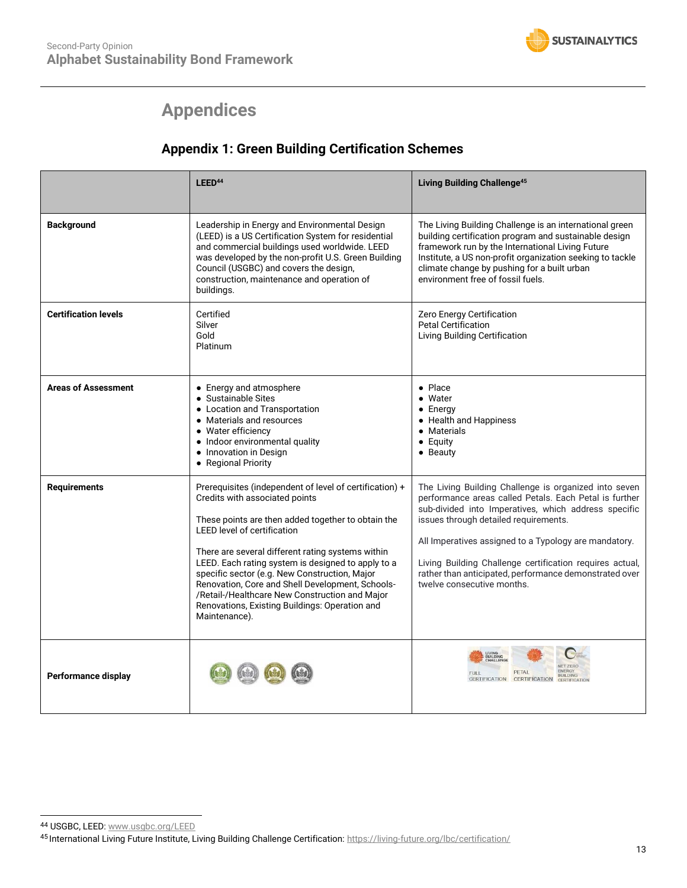

# **Appendices**

## **Appendix 1: Green Building Certification Schemes**

|                             | LEED <sup>44</sup>                                                                                                                                                                                                                                                                                                                                                                                                                                                                                                         | <b>Living Building Challenge<sup>45</sup></b>                                                                                                                                                                                                                                                                                                                                                                                 |
|-----------------------------|----------------------------------------------------------------------------------------------------------------------------------------------------------------------------------------------------------------------------------------------------------------------------------------------------------------------------------------------------------------------------------------------------------------------------------------------------------------------------------------------------------------------------|-------------------------------------------------------------------------------------------------------------------------------------------------------------------------------------------------------------------------------------------------------------------------------------------------------------------------------------------------------------------------------------------------------------------------------|
| <b>Background</b>           | Leadership in Energy and Environmental Design<br>(LEED) is a US Certification System for residential<br>and commercial buildings used worldwide. LEED<br>was developed by the non-profit U.S. Green Building<br>Council (USGBC) and covers the design,<br>construction, maintenance and operation of<br>buildings.                                                                                                                                                                                                         | The Living Building Challenge is an international green<br>building certification program and sustainable design<br>framework run by the International Living Future<br>Institute, a US non-profit organization seeking to tackle<br>climate change by pushing for a built urban<br>environment free of fossil fuels.                                                                                                         |
| <b>Certification levels</b> | Certified<br>Silver<br>Gold<br>Platinum                                                                                                                                                                                                                                                                                                                                                                                                                                                                                    | Zero Energy Certification<br><b>Petal Certification</b><br>Living Building Certification                                                                                                                                                                                                                                                                                                                                      |
| <b>Areas of Assessment</b>  | • Energy and atmosphere<br>• Sustainable Sites<br>• Location and Transportation<br>• Materials and resources<br>• Water efficiency<br>• Indoor environmental quality<br>• Innovation in Design<br>• Regional Priority                                                                                                                                                                                                                                                                                                      | $\bullet$ Place<br>$\bullet$ Water<br>$\bullet$ Energy<br>• Health and Happiness<br>• Materials<br>$\bullet$ Equity<br>$\bullet$ Beauty                                                                                                                                                                                                                                                                                       |
| <b>Requirements</b>         | Prerequisites (independent of level of certification) +<br>Credits with associated points<br>These points are then added together to obtain the<br><b>LEED level of certification</b><br>There are several different rating systems within<br>LEED. Each rating system is designed to apply to a<br>specific sector (e.g. New Construction, Major<br>Renovation, Core and Shell Development, Schools-<br>/Retail-/Healthcare New Construction and Major<br>Renovations, Existing Buildings: Operation and<br>Maintenance). | The Living Building Challenge is organized into seven<br>performance areas called Petals. Each Petal is further<br>sub-divided into Imperatives, which address specific<br>issues through detailed requirements.<br>All Imperatives assigned to a Typology are mandatory.<br>Living Building Challenge certification requires actual,<br>rather than anticipated, performance demonstrated over<br>twelve consecutive months. |
| Performance display         |                                                                                                                                                                                                                                                                                                                                                                                                                                                                                                                            | IVING<br>BUILDING<br><b>CHALLENGE</b><br>PETAL<br>FULL<br><b>RUILDING</b><br>CERTIFICATION CERTIFICATION<br><b>CERTIFICATION</b>                                                                                                                                                                                                                                                                                              |

<sup>44</sup> USGBC, LEED[: www.usgbc.org/LEED](http://www.usgbc.org/LEED)

<sup>45</sup> International Living Future Institute, Living Building Challenge Certification[: https://living-future.org/lbc/certification/](https://living-future.org/lbc/certification/)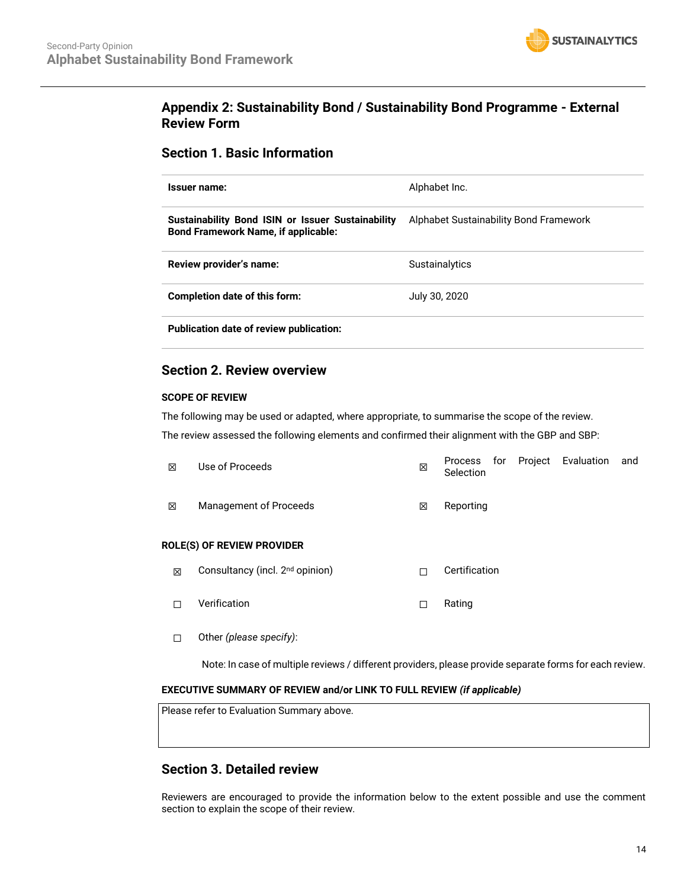

## **Appendix 2: Sustainability Bond / Sustainability Bond Programme - External Review Form**

## **Section 1. Basic Information**

| Issuer name:                                                                                    | Alphabet Inc.                          |  |  |
|-------------------------------------------------------------------------------------------------|----------------------------------------|--|--|
| Sustainability Bond ISIN or Issuer Sustainability<br><b>Bond Framework Name, if applicable:</b> | Alphabet Sustainability Bond Framework |  |  |
| Review provider's name:                                                                         | <b>Sustainalytics</b>                  |  |  |
| Completion date of this form:                                                                   | July 30, 2020                          |  |  |
| <b>Publication date of review publication:</b>                                                  |                                        |  |  |

## **Section 2. Review overview**

## **SCOPE OF REVIEW**

The following may be used or adapted, where appropriate, to summarise the scope of the review.

The review assessed the following elements and confirmed their alignment with the GBP and SBP:

| ⊠ | Use of Proceeds        | 区 | Selection |  | Process for Project Evaluation | and |
|---|------------------------|---|-----------|--|--------------------------------|-----|
| ⊠ | Management of Proceeds | X | Reporting |  |                                |     |

## **ROLE(S) OF REVIEW PROVIDER**

- **⊠** Consultancy (incl. 2<sup>nd</sup> opinion) □ □ Certification
- ☐ Verification ☐ Rating
- ☐ Other *(please specify)*:

Note: In case of multiple reviews / different providers, please provide separate forms for each review.

## **EXECUTIVE SUMMARY OF REVIEW and/or LINK TO FULL REVIEW** *(if applicable)*

Please refer to Evaluation Summary above.

## **Section 3. Detailed review**

Reviewers are encouraged to provide the information below to the extent possible and use the comment section to explain the scope of their review.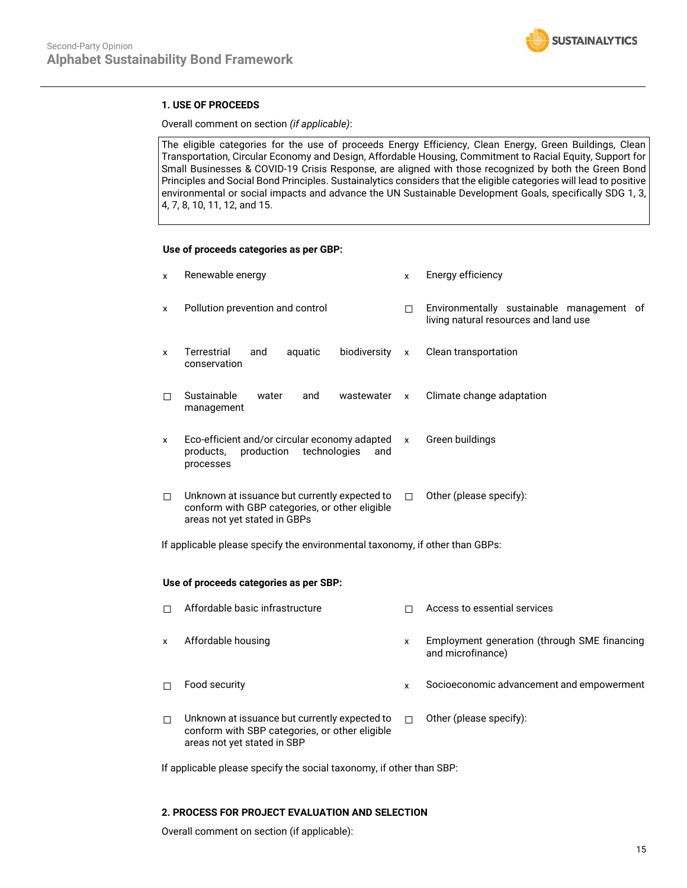

## **1. USE OF PROCEEDS**

Overall comment on section *(if applicable)*:

The eligible categories for the use of proceeds Energy Efficiency, Clean Energy, Green Buildings, Clean Transportation, Circular Economy and Design, Affordable Housing, Commitment to Racial Equity, Support for Small Businesses & COVID-19 Crisis Response, are aligned with those recognized by both the Green Bond Principles and Social Bond Principles. Sustainalytics considers that the eligible categories will lead to positive environmental or social impacts and advance the UN Sustainable Development Goals, specifically SDG 1, 3, 4, 7, 8, 10, 11, 12, and 15.

#### **Use of proceeds categories as per GBP:**

| X                                                                            | Renewable energy                                                                                                                | $\mathsf{x}$ | Energy efficiency                                                                  |  |
|------------------------------------------------------------------------------|---------------------------------------------------------------------------------------------------------------------------------|--------------|------------------------------------------------------------------------------------|--|
| X                                                                            | Pollution prevention and control                                                                                                | П            | Environmentally sustainable management of<br>living natural resources and land use |  |
| $\mathbf{x}$                                                                 | Terrestrial<br>biodiversity<br>aquatic<br>and<br>conservation                                                                   | $\mathsf{x}$ | Clean transportation                                                               |  |
| П                                                                            | Sustainable<br>water<br>and<br>wastewater<br>management                                                                         | $\mathsf{x}$ | Climate change adaptation                                                          |  |
| X                                                                            | Eco-efficient and/or circular economy adapted x<br>production<br>technologies<br>products,<br>and<br>processes                  |              | Green buildings                                                                    |  |
| П                                                                            | Unknown at issuance but currently expected to<br>conform with GBP categories, or other eligible<br>areas not yet stated in GBPs | П.           | Other (please specify):                                                            |  |
| If applicable please specify the environmental taxonomy, if other than GBPs: |                                                                                                                                 |              |                                                                                    |  |

## **Use of proceeds categories as per SBP:**

| п | Affordable basic infrastructure                                                                                                |   | Access to essential services                                      |
|---|--------------------------------------------------------------------------------------------------------------------------------|---|-------------------------------------------------------------------|
| x | Affordable housing                                                                                                             | x | Employment generation (through SME financing<br>and microfinance) |
| п | Food security                                                                                                                  | x | Socioeconomic advancement and empowerment                         |
| п | Unknown at issuance but currently expected to<br>conform with SBP categories, or other eligible<br>areas not yet stated in SBP | П | Other (please specify):                                           |

If applicable please specify the social taxonomy, if other than SBP:

## **2. PROCESS FOR PROJECT EVALUATION AND SELECTION**

Overall comment on section (if applicable):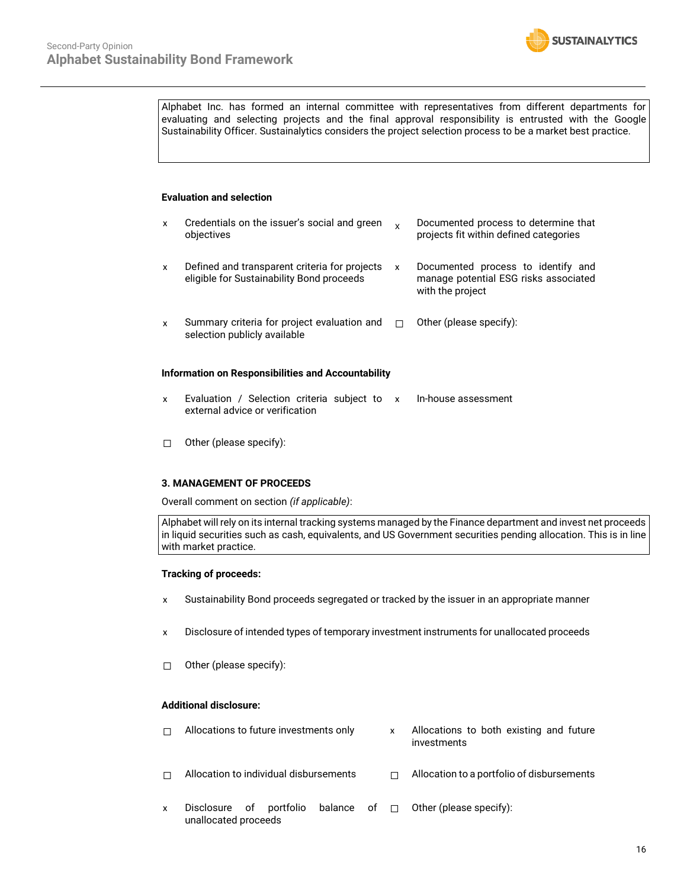

Alphabet Inc. has formed an internal committee with representatives from different departments for evaluating and selecting projects and the final approval responsibility is entrusted with the Google Sustainability Officer. Sustainalytics considers the project selection process to be a market best practice.

#### **Evaluation and selection**

| x                                                  | Credentials on the issuer's social and green<br>objectives                                 | X | Documented process to determine that<br>projects fit within defined categories                  |  |  |
|----------------------------------------------------|--------------------------------------------------------------------------------------------|---|-------------------------------------------------------------------------------------------------|--|--|
| x                                                  | Defined and transparent criteria for projects<br>eligible for Sustainability Bond proceeds | x | Documented process to identify and<br>manage potential ESG risks associated<br>with the project |  |  |
| X                                                  | Summary criteria for project evaluation and<br>selection publicly available                | П | Other (please specify):                                                                         |  |  |
| Information on Responsibilities and Accountability |                                                                                            |   |                                                                                                 |  |  |

- x Evaluation / Selection criteria subject to x In-house assessment external advice or verification
- ☐ Other (please specify):

## **3. MANAGEMENT OF PROCEEDS**

Overall comment on section *(if applicable)*:

Alphabet will rely on its internal tracking systems managed by the Finance department and invest net proceeds in liquid securities such as cash, equivalents, and US Government securities pending allocation. This is in line with market practice.

## **Tracking of proceeds:**

- x Sustainability Bond proceeds segregated or tracked by the issuer in an appropriate manner
- x Disclosure of intended types of temporary investment instruments for unallocated proceeds
- ☐ Other (please specify):

## **Additional disclosure:**

- $\Box$  Allocations to future investments only  $\Box$  Allocations to both existing and future investments ☐ Allocation to individual disbursements ☐ Allocation to a portfolio of disbursements
- x Disclosure of portfolio balance of unallocated proceeds ☐ Other (please specify):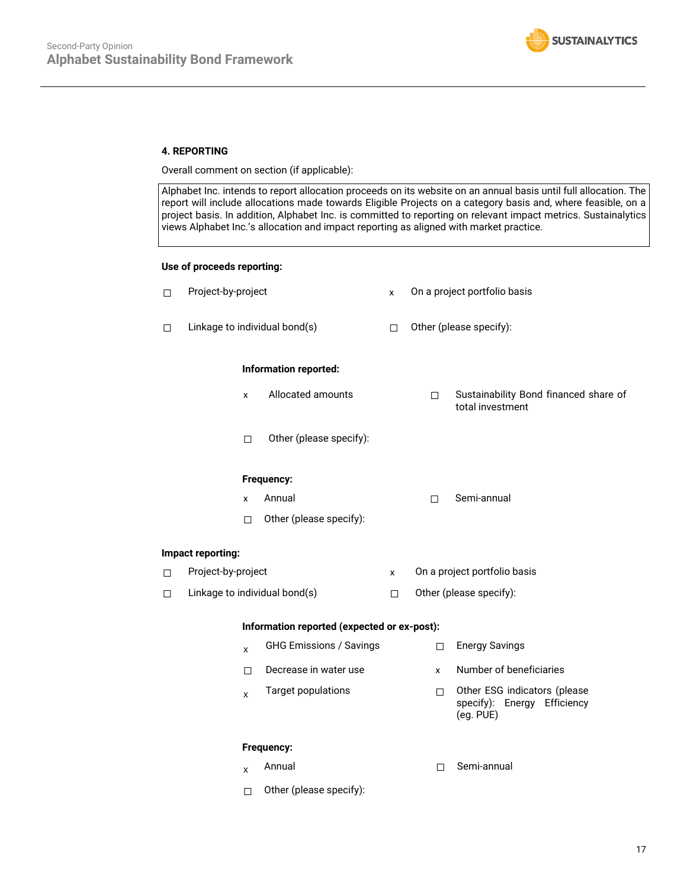

## **4. REPORTING**

Overall comment on section (if applicable):

Alphabet Inc. intends to report allocation proceeds on its website on an annual basis until full allocation. The report will include allocations made towards Eligible Projects on a category basis and, where feasible, on a project basis. In addition, Alphabet Inc. is committed to reporting on relevant impact metrics. Sustainalytics views Alphabet Inc.'s allocation and impact reporting as aligned with market practice.

## **Use of proceeds reporting:**

- ☐ Project-by-project x On a project portfolio basis ☐ Linkage to individual bond(s) ☐ Other (please specify): **Information reported:** x Allocated amounts ☐ Sustainability Bond financed share of total investment ☐ Other (please specify): **Frequency:** x Annual <del>□</del> Semi-annual ☐ Other (please specify): **Impact reporting:** ☐ Project-by-project x On a project portfolio basis ☐ Linkage to individual bond(s) ☐ Other (please specify): **Information reported (expected or ex-post):**  $\chi$  GHG Emissions / Savings  $\Box$  Energy Savings  $\Box$  Decrease in water use  $\Box$  Number of beneficiaries x Target populations ☐ Other ESG indicators (please specify): Energy Efficiency (eg. PUE) **Frequency:**
	- x Annual □ Discovery Discovery Discovery Discovery Discovery Discovery Discovery Discovery Discovery Discovery Discovery Discovery Discovery Discovery Discovery Discovery Discovery Discovery Discovery Discovery Discovery Di
	- ☐ Other (please specify):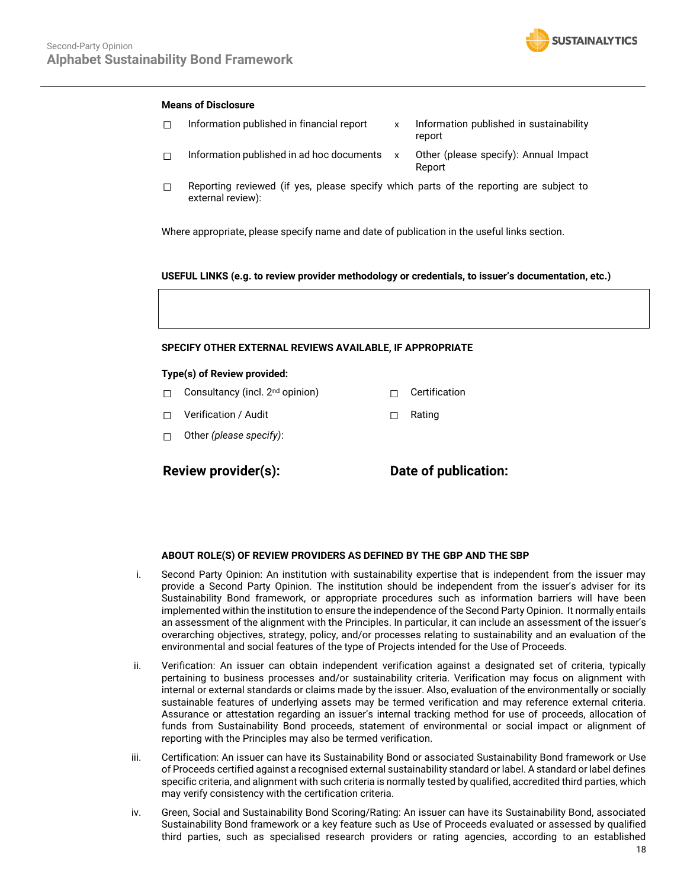

## **Means of Disclosure**

- $\Box$  Information published in financial report  $\quad \times$  Information published in sustainability report  $\Box$  Information published in ad hoc documents  $x$  Other (please specify): Annual Impact Report
- $\Box$  Reporting reviewed (if yes, please specify which parts of the reporting are subject to external review):

Where appropriate, please specify name and date of publication in the useful links section.

#### **USEFUL LINKS (e.g. to review provider methodology or credentials, to issuer's documentation, etc.)**

#### **SPECIFY OTHER EXTERNAL REVIEWS AVAILABLE, IF APPROPRIATE**

#### **Type(s) of Review provided:**

- □ Consultancy (incl. 2<sup>nd</sup> opinion) □ □ Certification
- ☐ Verification / Audit ☐ Rating
- ☐ Other *(please specify)*:

**Review provider(s): Date of publication:**

#### **ABOUT ROLE(S) OF REVIEW PROVIDERS AS DEFINED BY THE GBP AND THE SBP**

- i. Second Party Opinion: An institution with sustainability expertise that is independent from the issuer may provide a Second Party Opinion. The institution should be independent from the issuer's adviser for its Sustainability Bond framework, or appropriate procedures such as information barriers will have been implemented within the institution to ensure the independence of the Second Party Opinion. It normally entails an assessment of the alignment with the Principles. In particular, it can include an assessment of the issuer's overarching objectives, strategy, policy, and/or processes relating to sustainability and an evaluation of the environmental and social features of the type of Projects intended for the Use of Proceeds.
- ii. Verification: An issuer can obtain independent verification against a designated set of criteria, typically pertaining to business processes and/or sustainability criteria. Verification may focus on alignment with internal or external standards or claims made by the issuer. Also, evaluation of the environmentally or socially sustainable features of underlying assets may be termed verification and may reference external criteria. Assurance or attestation regarding an issuer's internal tracking method for use of proceeds, allocation of funds from Sustainability Bond proceeds, statement of environmental or social impact or alignment of reporting with the Principles may also be termed verification.
- iii. Certification: An issuer can have its Sustainability Bond or associated Sustainability Bond framework or Use of Proceeds certified against a recognised external sustainability standard or label. A standard or label defines specific criteria, and alignment with such criteria is normally tested by qualified, accredited third parties, which may verify consistency with the certification criteria.
- iv. Green, Social and Sustainability Bond Scoring/Rating: An issuer can have its Sustainability Bond, associated Sustainability Bond framework or a key feature such as Use of Proceeds evaluated or assessed by qualified third parties, such as specialised research providers or rating agencies, according to an established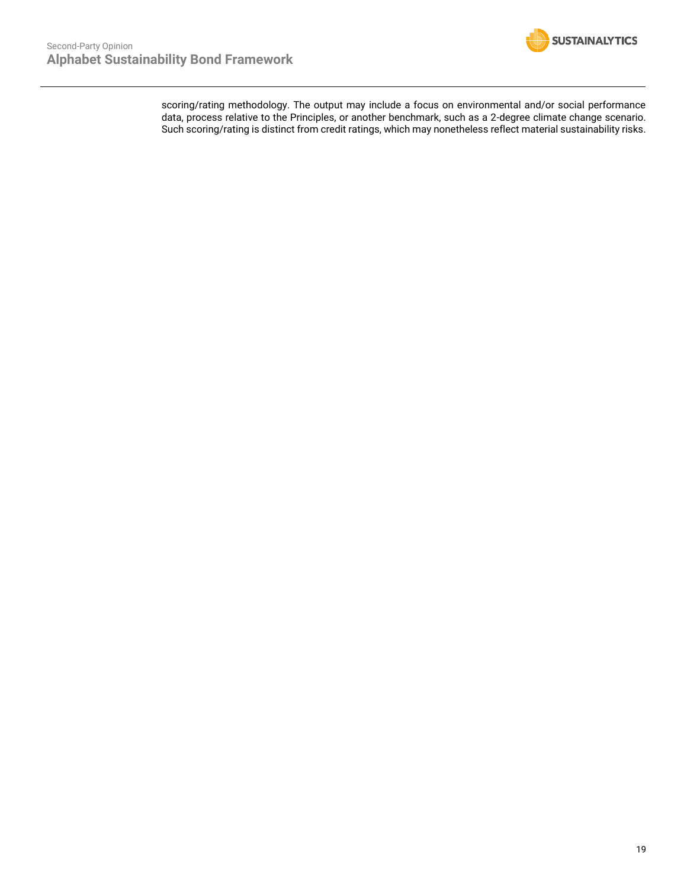

scoring/rating methodology. The output may include a focus on environmental and/or social performance data, process relative to the Principles, or another benchmark, such as a 2-degree climate change scenario. Such scoring/rating is distinct from credit ratings, which may nonetheless reflect material sustainability risks.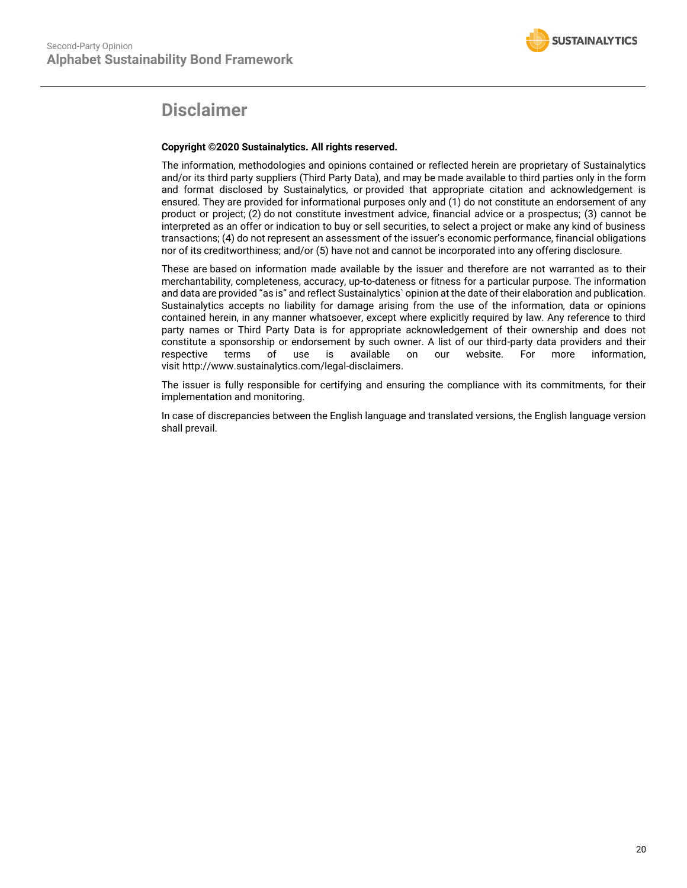

## **Disclaimer**

## **Copyright ©2020 Sustainalytics. All rights reserved.**

The information, methodologies and opinions contained or reflected herein are proprietary of Sustainalytics and/or its third party suppliers (Third Party Data), and may be made available to third parties only in the form and format disclosed by Sustainalytics, or provided that appropriate citation and acknowledgement is ensured. They are provided for informational purposes only and (1) do not constitute an endorsement of any product or project; (2) do not constitute investment advice, financial advice or a prospectus; (3) cannot be interpreted as an offer or indication to buy or sell securities, to select a project or make any kind of business transactions; (4) do not represent an assessment of the issuer's economic performance, financial obligations nor of its creditworthiness; and/or (5) have not and cannot be incorporated into any offering disclosure.

These are based on information made available by the issuer and therefore are not warranted as to their merchantability, completeness, accuracy, up-to-dateness or fitness for a particular purpose. The information and data are provided "as is" and reflect Sustainalytics` opinion at the date of their elaboration and publication. Sustainalytics accepts no liability for damage arising from the use of the information, data or opinions contained herein, in any manner whatsoever, except where explicitly required by law. Any reference to third party names or Third Party Data is for appropriate acknowledgement of their ownership and does not constitute a sponsorship or endorsement by such owner. A list of our third-party data providers and their respective terms of use is available on our website. For more information, visit http://www.sustainalytics.com/legal-disclaimers.

The issuer is fully responsible for certifying and ensuring the compliance with its commitments, for their implementation and monitoring.

In case of discrepancies between the English language and translated versions, the English language version shall prevail.